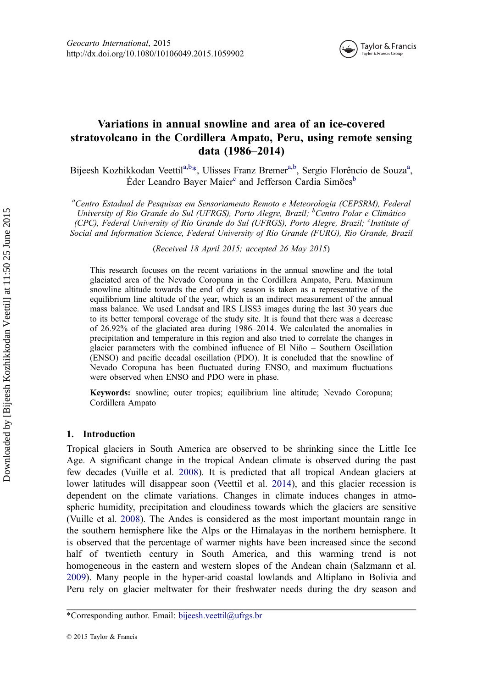

# Variations in annual snowline and area of an ice-covered stratovolcano in the Cordillera Ampato, Peru, using remote sensing data (1986–2014)

Bijeesh Kozhikkodan Veettil<sup>a,b\*</sup>, Ulisses Franz Bremer<sup>a,b</sup>, Sergio Florêncio de Souza<sup>a</sup>, Éder Leandro Bayer Maier<sup>c</sup> and Jefferson Cardia Simões<sup>b</sup>

<sup>a</sup>Centro Estadual de Pesquisas em Sensoriamento Remoto e Meteorologia (CEPSRM), Federal University of Rio Grande do Sul (UFRGS), Porto Alegre, Brazil; <sup>b</sup>Centro Polar e Climático (CPC), Federal University of Rio Grande do Sul (UFRGS), Porto Alegre, Brazil; <sup>c</sup>Institute of Social and Information Science, Federal University of Rio Grande (FURG), Rio Grande, Brazil

(Received 18 April 2015; accepted 26 May 2015)

This research focuses on the recent variations in the annual snowline and the total glaciated area of the Nevado Coropuna in the Cordillera Ampato, Peru. Maximum snowline altitude towards the end of dry season is taken as a representative of the equilibrium line altitude of the year, which is an indirect measurement of the annual mass balance. We used Landsat and IRS LISS3 images during the last 30 years due to its better temporal coverage of the study site. It is found that there was a decrease of 26.92% of the glaciated area during 1986–2014. We calculated the anomalies in precipitation and temperature in this region and also tried to correlate the changes in glacier parameters with the combined influence of El Niño – Southern Oscillation (ENSO) and pacific decadal oscillation (PDO). It is concluded that the snowline of Nevado Coropuna has been fluctuated during ENSO, and maximum fluctuations were observed when ENSO and PDO were in phase.

Keywords: snowline; outer tropics; equilibrium line altitude; Nevado Coropuna; Cordillera Ampato

## 1. Introduction

Tropical glaciers in South America are observed to be shrinking since the Little Ice Age. A significant change in the tropical Andean climate is observed during the past few decades (Vuille et al. [2008\)](#page-12-0). It is predicted that all tropical Andean glaciers at lower latitudes will disappear soon (Veettil et al. [2014\)](#page-12-0), and this glacier recession is dependent on the climate variations. Changes in climate induces changes in atmospheric humidity, precipitation and cloudiness towards which the glaciers are sensitive (Vuille et al. [2008](#page-12-0)). The Andes is considered as the most important mountain range in the southern hemisphere like the Alps or the Himalayas in the northern hemisphere. It is observed that the percentage of warmer nights have been increased since the second half of twentieth century in South America, and this warming trend is not homogeneous in the eastern and western slopes of the Andean chain (Salzmann et al. [2009\)](#page-12-0). Many people in the hyper-arid coastal lowlands and Altiplano in Bolivia and Peru rely on glacier meltwater for their freshwater needs during the dry season and

<sup>\*</sup>Corresponding author. Email: [bijeesh.veettil@ufrgs.br](mailto:bijeesh.veettil@ufrgs.br)

<sup>© 2015</sup> Taylor & Francis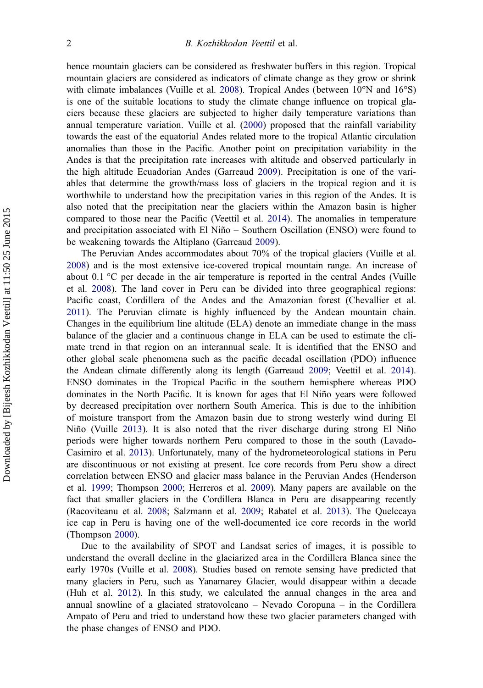hence mountain glaciers can be considered as freshwater buffers in this region. Tropical mountain glaciers are considered as indicators of climate change as they grow or shrink with climate imbalances (Vuille et al. [2008](#page-12-0)). Tropical Andes (between 10°N and 16°S) is one of the suitable locations to study the climate change influence on tropical glaciers because these glaciers are subjected to higher daily temperature variations than annual temperature variation. Vuille et al. ([2000\)](#page-12-0) proposed that the rainfall variability towards the east of the equatorial Andes related more to the tropical Atlantic circulation anomalies than those in the Pacific. Another point on precipitation variability in the Andes is that the precipitation rate increases with altitude and observed particularly in the high altitude Ecuadorian Andes (Garreaud [2009\)](#page-11-0). Precipitation is one of the variables that determine the growth/mass loss of glaciers in the tropical region and it is worthwhile to understand how the precipitation varies in this region of the Andes. It is also noted that the precipitation near the glaciers within the Amazon basin is higher compared to those near the Pacific (Veettil et al. [2014](#page-12-0)). The anomalies in temperature and precipitation associated with El Niño – Southern Oscillation (ENSO) were found to be weakening towards the Altiplano (Garreaud [2009\)](#page-11-0).

The Peruvian Andes accommodates about 70% of the tropical glaciers (Vuille et al. [2008\)](#page-12-0) and is the most extensive ice-covered tropical mountain range. An increase of about 0.1 °C per decade in the air temperature is reported in the central Andes (Vuille et al. [2008\)](#page-12-0). The land cover in Peru can be divided into three geographical regions: Pacific coast, Cordillera of the Andes and the Amazonian forest (Chevallier et al. [2011\)](#page-11-0). The Peruvian climate is highly influenced by the Andean mountain chain. Changes in the equilibrium line altitude (ELA) denote an immediate change in the mass balance of the glacier and a continuous change in ELA can be used to estimate the climate trend in that region on an interannual scale. It is identified that the ENSO and other global scale phenomena such as the pacific decadal oscillation (PDO) influence the Andean climate differently along its length (Garreaud [2009](#page-11-0); Veettil et al. [2014](#page-12-0)). ENSO dominates in the Tropical Pacific in the southern hemisphere whereas PDO dominates in the North Pacific. It is known for ages that El Niño years were followed by decreased precipitation over northern South America. This is due to the inhibition of moisture transport from the Amazon basin due to strong westerly wind during El Niño (Vuille [2013](#page-12-0)). It is also noted that the river discharge during strong El Niño periods were higher towards northern Peru compared to those in the south (Lavado-Casimiro et al. [2013\)](#page-11-0). Unfortunately, many of the hydrometeorological stations in Peru are discontinuous or not existing at present. Ice core records from Peru show a direct correlation between ENSO and glacier mass balance in the Peruvian Andes (Henderson et al. [1999;](#page-11-0) Thompson [2000](#page-12-0); Herreros et al. [2009](#page-11-0)). Many papers are available on the fact that smaller glaciers in the Cordillera Blanca in Peru are disappearing recently (Racoviteanu et al. [2008;](#page-12-0) Salzmann et al. [2009](#page-12-0); Rabatel et al. [2013\)](#page-12-0). The Quelccaya ice cap in Peru is having one of the well-documented ice core records in the world (Thompson [2000](#page-12-0)).

Due to the availability of SPOT and Landsat series of images, it is possible to understand the overall decline in the glaciarized area in the Cordillera Blanca since the early 1970s (Vuille et al. [2008\)](#page-12-0). Studies based on remote sensing have predicted that many glaciers in Peru, such as Yanamarey Glacier, would disappear within a decade (Huh et al. [2012](#page-11-0)). In this study, we calculated the annual changes in the area and annual snowline of a glaciated stratovolcano – Nevado Coropuna – in the Cordillera Ampato of Peru and tried to understand how these two glacier parameters changed with the phase changes of ENSO and PDO.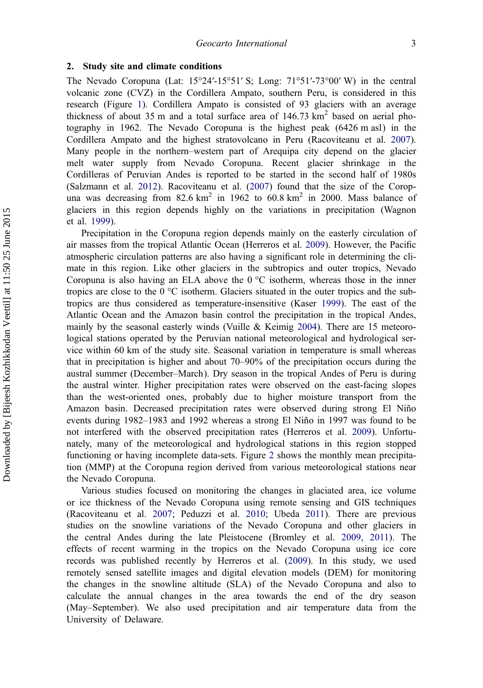### 2. Study site and climate conditions

The Nevado Coropuna (Lat: 15°24′-15°51′ S; Long: 71°51′-73°00′ W) in the central volcanic zone (CVZ) in the Cordillera Ampato, southern Peru, is considered in this research (Figure [1](#page-3-0)). Cordillera Ampato is consisted of 93 glaciers with an average thickness of about 35 m and a total surface area of  $146.73 \text{ km}^2$  based on aerial photography in 1962. The Nevado Coropuna is the highest peak (6426 m asl) in the Cordillera Ampato and the highest stratovolcano in Peru (Racoviteanu et al. [2007](#page-12-0)). Many people in the northern–western part of Arequipa city depend on the glacier melt water supply from Nevado Coropuna. Recent glacier shrinkage in the Cordilleras of Peruvian Andes is reported to be started in the second half of 1980s (Salzmann et al. [2012](#page-12-0)). Racoviteanu et al. [\(2007](#page-12-0)) found that the size of the Coropuna was decreasing from  $82.6 \text{ km}^2$  in  $1962$  to  $60.8 \text{ km}^2$  in 2000. Mass balance of glaciers in this region depends highly on the variations in precipitation (Wagnon et al. [1999\)](#page-12-0).

Precipitation in the Coropuna region depends mainly on the easterly circulation of air masses from the tropical Atlantic Ocean (Herreros et al. [2009](#page-11-0)). However, the Pacific atmospheric circulation patterns are also having a significant role in determining the climate in this region. Like other glaciers in the subtropics and outer tropics, Nevado Coropuna is also having an ELA above the  $0^{\circ}$ C isotherm, whereas those in the inner tropics are close to the 0 °C isotherm. Glaciers situated in the outer tropics and the subtropics are thus considered as temperature-insensitive (Kaser [1999](#page-11-0)). The east of the Atlantic Ocean and the Amazon basin control the precipitation in the tropical Andes, mainly by the seasonal easterly winds (Vuille  $&$  Keimig [2004\)](#page-12-0). There are 15 meteorological stations operated by the Peruvian national meteorological and hydrological service within 60 km of the study site. Seasonal variation in temperature is small whereas that in precipitation is higher and about 70–90% of the precipitation occurs during the austral summer (December–March). Dry season in the tropical Andes of Peru is during the austral winter. Higher precipitation rates were observed on the east-facing slopes than the west-oriented ones, probably due to higher moisture transport from the Amazon basin. Decreased precipitation rates were observed during strong El Niño events during 1982–1983 and 1992 whereas a strong El Niño in 1997 was found to be not interfered with the observed precipitation rates (Herreros et al. [2009\)](#page-11-0). Unfortunately, many of the meteorological and hydrological stations in this region stopped functioning or having incomplete data-sets. Figure [2](#page-4-0) shows the monthly mean precipitation (MMP) at the Coropuna region derived from various meteorological stations near the Nevado Coropuna.

Various studies focused on monitoring the changes in glaciated area, ice volume or ice thickness of the Nevado Coropuna using remote sensing and GIS techniques (Racoviteanu et al. [2007;](#page-12-0) Peduzzi et al. [2010](#page-12-0); Ubeda [2011\)](#page-12-0). There are previous studies on the snowline variations of the Nevado Coropuna and other glaciers in the central Andes during the late Pleistocene (Bromley et al. [2009, 2011\)](#page-11-0). The effects of recent warming in the tropics on the Nevado Coropuna using ice core records was published recently by Herreros et al. [\(2009](#page-11-0)). In this study, we used remotely sensed satellite images and digital elevation models (DEM) for monitoring the changes in the snowline altitude (SLA) of the Nevado Coropuna and also to calculate the annual changes in the area towards the end of the dry season (May–September). We also used precipitation and air temperature data from the University of Delaware.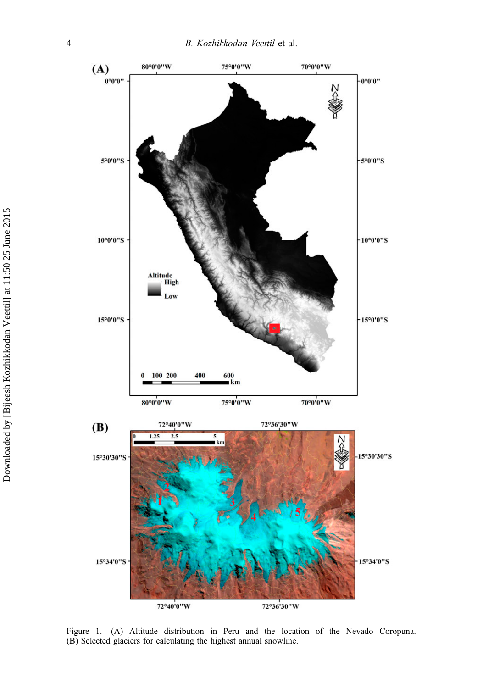<span id="page-3-0"></span>

Figure 1. (A) Altitude distribution in Peru and the location of the Nevado Coropuna. (B) Selected glaciers for calculating the highest annual snowline.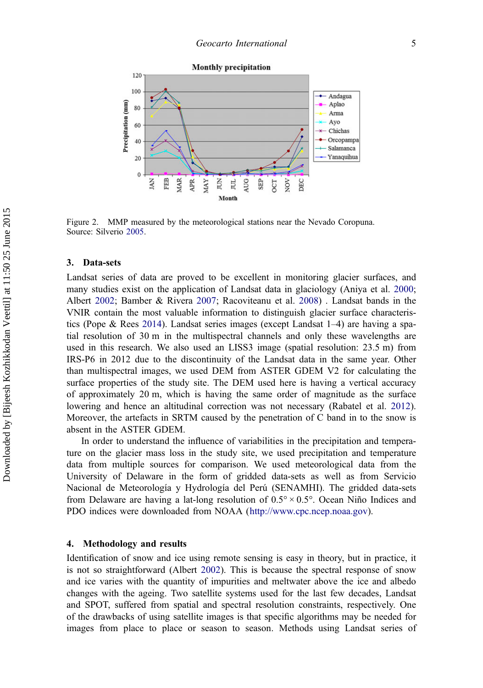<span id="page-4-0"></span>

Figure 2. MMP measured by the meteorological stations near the Nevado Coropuna. Source: Silverio [2005](#page-12-0).

#### 3. Data-sets

Landsat series of data are proved to be excellent in monitoring glacier surfaces, and many studies exist on the application of Landsat data in glaciology (Aniya et al. [2000](#page-11-0); Albert [2002](#page-11-0); Bamber & Rivera [2007;](#page-11-0) Racoviteanu et al. [2008](#page-12-0)) . Landsat bands in the VNIR contain the most valuable information to distinguish glacier surface characteristics (Pope & Rees [2014](#page-12-0)). Landsat series images (except Landsat 1–4) are having a spatial resolution of 30 m in the multispectral channels and only these wavelengths are used in this research. We also used an LISS3 image (spatial resolution: 23.5 m) from IRS-P6 in 2012 due to the discontinuity of the Landsat data in the same year. Other than multispectral images, we used DEM from ASTER GDEM V2 for calculating the surface properties of the study site. The DEM used here is having a vertical accuracy of approximately 20 m, which is having the same order of magnitude as the surface lowering and hence an altitudinal correction was not necessary (Rabatel et al. [2012](#page-12-0)). Moreover, the artefacts in SRTM caused by the penetration of C band in to the snow is absent in the ASTER GDEM.

In order to understand the influence of variabilities in the precipitation and temperature on the glacier mass loss in the study site, we used precipitation and temperature data from multiple sources for comparison. We used meteorological data from the University of Delaware in the form of gridded data-sets as well as from Servicio Nacional de Meteorología y Hydrología del Perú (SENAMHI). The gridded data-sets from Delaware are having a lat-long resolution of 0.5° × 0.5°. Ocean Niño Indices and PDO indices were downloaded from NOAA ([http://www.cpc.ncep.noaa.gov\)](http://www.cpc.ncep.noaa.gov).

#### 4. Methodology and results

Identification of snow and ice using remote sensing is easy in theory, but in practice, it is not so straightforward (Albert [2002](#page-11-0)). This is because the spectral response of snow and ice varies with the quantity of impurities and meltwater above the ice and albedo changes with the ageing. Two satellite systems used for the last few decades, Landsat and SPOT, suffered from spatial and spectral resolution constraints, respectively. One of the drawbacks of using satellite images is that specific algorithms may be needed for images from place to place or season to season. Methods using Landsat series of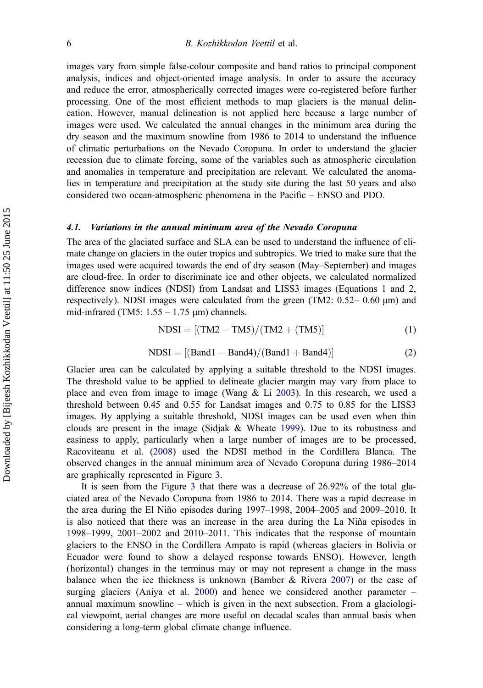images vary from simple false-colour composite and band ratios to principal component analysis, indices and object-oriented image analysis. In order to assure the accuracy and reduce the error, atmospherically corrected images were co-registered before further processing. One of the most efficient methods to map glaciers is the manual delineation. However, manual delineation is not applied here because a large number of images were used. We calculated the annual changes in the minimum area during the dry season and the maximum snowline from 1986 to 2014 to understand the influence of climatic perturbations on the Nevado Coropuna. In order to understand the glacier recession due to climate forcing, some of the variables such as atmospheric circulation and anomalies in temperature and precipitation are relevant. We calculated the anomalies in temperature and precipitation at the study site during the last 50 years and also considered two ocean-atmospheric phenomena in the Pacific – ENSO and PDO.

#### 4.1. Variations in the annual minimum area of the Nevado Coropuna

The area of the glaciated surface and SLA can be used to understand the influence of climate change on glaciers in the outer tropics and subtropics. We tried to make sure that the images used were acquired towards the end of dry season (May–September) and images are cloud-free. In order to discriminate ice and other objects, we calculated normalized difference snow indices (NDSI) from Landsat and LISS3 images (Equations 1 and 2, respectively). NDSI images were calculated from the green (TM2:  $0.52-0.60 \mu m$ ) and mid-infrared (TM5:  $1.55 - 1.75 \mu m$ ) channels.

$$
NDSI = [(TM2 - TM5)/(TM2 + (TM5)] \tag{1}
$$

$$
NDSI = [(Band1 – Band4)/(Band1 + Band4)] \tag{2}
$$

Glacier area can be calculated by applying a suitable threshold to the NDSI images. The threshold value to be applied to delineate glacier margin may vary from place to place and even from image to image (Wang  $\&$  Li [2003](#page-12-0)). In this research, we used a threshold between 0.45 and 0.55 for Landsat images and 0.75 to 0.85 for the LISS3 images. By applying a suitable threshold, NDSI images can be used even when thin clouds are present in the image (Sidjak  $&$  Wheate [1999\)](#page-12-0). Due to its robustness and easiness to apply, particularly when a large number of images are to be processed, Racoviteanu et al. ([2008](#page-12-0)) used the NDSI method in the Cordillera Blanca. The observed changes in the annual minimum area of Nevado Coropuna during 1986–2014 are graphically represented in Figure [3.](#page-6-0)

It is seen from the Figure [3](#page-6-0) that there was a decrease of 26.92% of the total glaciated area of the Nevado Coropuna from 1986 to 2014. There was a rapid decrease in the area during the El Niño episodes during 1997–1998, 2004–2005 and 2009–2010. It is also noticed that there was an increase in the area during the La Niña episodes in 1998–1999, 2001–2002 and 2010–2011. This indicates that the response of mountain glaciers to the ENSO in the Cordillera Ampato is rapid (whereas glaciers in Bolivia or Ecuador were found to show a delayed response towards ENSO). However, length (horizontal) changes in the terminus may or may not represent a change in the mass balance when the ice thickness is unknown (Bamber & Rivera [2007](#page-11-0)) or the case of surging glaciers (Aniya et al. [2000\)](#page-11-0) and hence we considered another parameter – annual maximum snowline – which is given in the next subsection. From a glaciological viewpoint, aerial changes are more useful on decadal scales than annual basis when considering a long-term global climate change influence.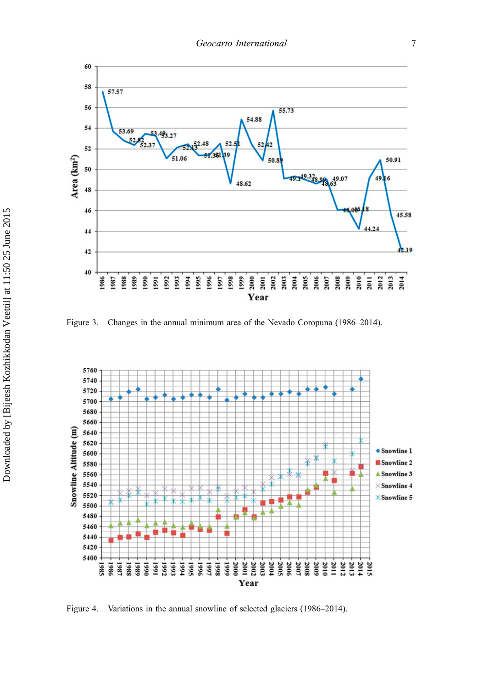<span id="page-6-0"></span>

Figure 3. Changes in the annual minimum area of the Nevado Coropuna (1986–2014).



Figure 4. Variations in the annual snowline of selected glaciers (1986–2014).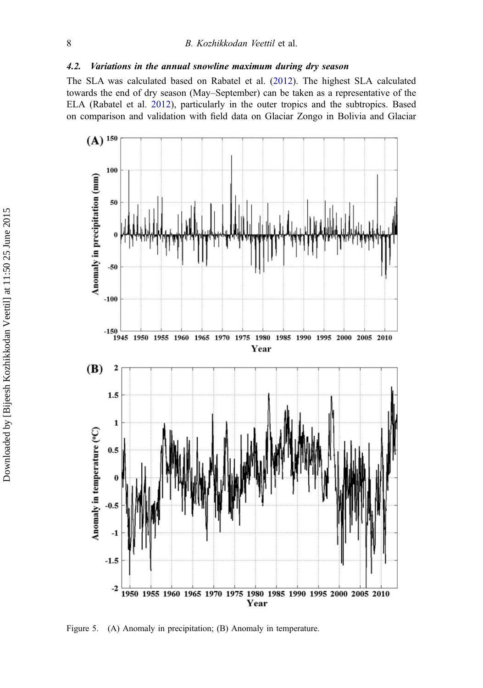# <span id="page-7-0"></span>4.2. Variations in the annual snowline maximum during dry season

The SLA was calculated based on Rabatel et al. [\(2012](#page-12-0)). The highest SLA calculated towards the end of dry season (May–September) can be taken as a representative of the ELA (Rabatel et al. [2012\)](#page-12-0), particularly in the outer tropics and the subtropics. Based on comparison and validation with field data on Glaciar Zongo in Bolivia and Glaciar



Figure 5. (A) Anomaly in precipitation; (B) Anomaly in temperature.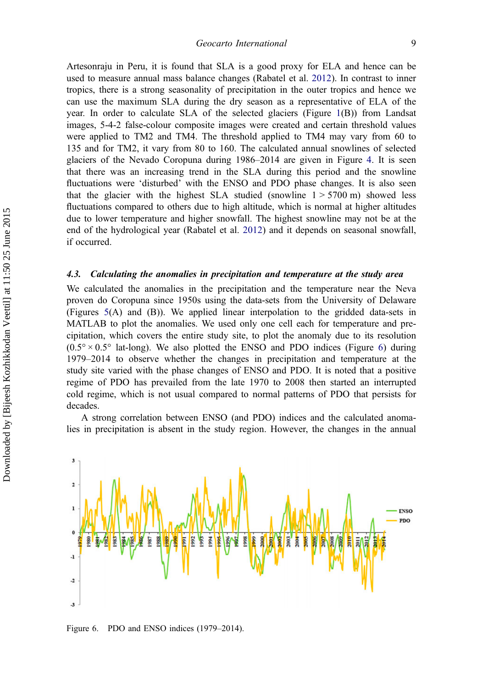Artesonraju in Peru, it is found that SLA is a good proxy for ELA and hence can be used to measure annual mass balance changes (Rabatel et al. [2012\)](#page-12-0). In contrast to inner tropics, there is a strong seasonality of precipitation in the outer tropics and hence we can use the maximum SLA during the dry season as a representative of ELA of the year. In order to calculate SLA of the selected glaciers (Figure [1](#page-3-0)(B)) from Landsat images, 5-4-2 false-colour composite images were created and certain threshold values were applied to TM2 and TM4. The threshold applied to TM4 may vary from 60 to 135 and for TM2, it vary from 80 to 160. The calculated annual snowlines of selected glaciers of the Nevado Coropuna during 1986–2014 are given in Figure [4.](#page-6-0) It is seen that there was an increasing trend in the SLA during this period and the snowline fluctuations were 'disturbed' with the ENSO and PDO phase changes. It is also seen that the glacier with the highest SLA studied (snowline  $1 > 5700 \text{ m}$ ) showed less fluctuations compared to others due to high altitude, which is normal at higher altitudes due to lower temperature and higher snowfall. The highest snowline may not be at the end of the hydrological year (Rabatel et al. [2012](#page-12-0)) and it depends on seasonal snowfall, if occurred.

#### 4.3. Calculating the anomalies in precipitation and temperature at the study area

We calculated the anomalies in the precipitation and the temperature near the Neva proven do Coropuna since 1950s using the data-sets from the University of Delaware (Figures [5](#page-7-0)(A) and (B)). We applied linear interpolation to the gridded data-sets in MATLAB to plot the anomalies. We used only one cell each for temperature and precipitation, which covers the entire study site, to plot the anomaly due to its resolution  $(0.5^{\circ} \times 0.5^{\circ})$  lat-long). We also plotted the ENSO and PDO indices (Figure 6) during 1979–2014 to observe whether the changes in precipitation and temperature at the study site varied with the phase changes of ENSO and PDO. It is noted that a positive regime of PDO has prevailed from the late 1970 to 2008 then started an interrupted cold regime, which is not usual compared to normal patterns of PDO that persists for decades.

A strong correlation between ENSO (and PDO) indices and the calculated anomalies in precipitation is absent in the study region. However, the changes in the annual



Figure 6. PDO and ENSO indices (1979–2014).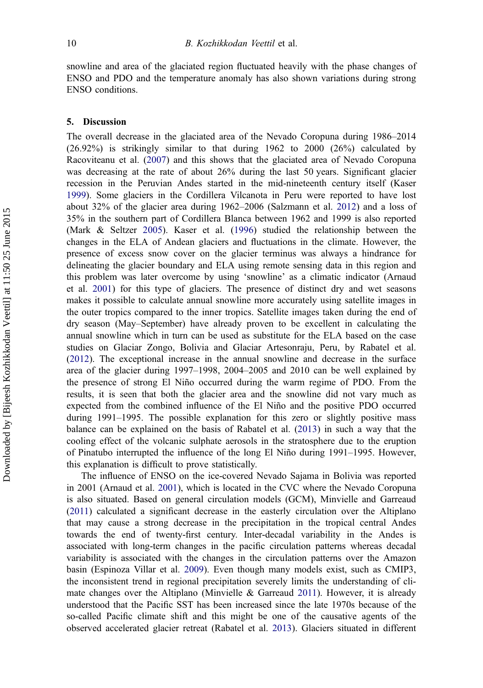snowline and area of the glaciated region fluctuated heavily with the phase changes of ENSO and PDO and the temperature anomaly has also shown variations during strong ENSO conditions.

#### 5. Discussion

The overall decrease in the glaciated area of the Nevado Coropuna during 1986–2014 (26.92%) is strikingly similar to that during 1962 to 2000 (26%) calculated by Racoviteanu et al. ([2007\)](#page-12-0) and this shows that the glaciated area of Nevado Coropuna was decreasing at the rate of about 26% during the last 50 years. Significant glacier recession in the Peruvian Andes started in the mid-nineteenth century itself (Kaser [1999\)](#page-11-0). Some glaciers in the Cordillera Vilcanota in Peru were reported to have lost about 32% of the glacier area during 1962–2006 (Salzmann et al. [2012](#page-12-0)) and a loss of 35% in the southern part of Cordillera Blanca between 1962 and 1999 is also reported (Mark & Seltzer [2005\)](#page-12-0). Kaser et al. [\(1996](#page-11-0)) studied the relationship between the changes in the ELA of Andean glaciers and fluctuations in the climate. However, the presence of excess snow cover on the glacier terminus was always a hindrance for delineating the glacier boundary and ELA using remote sensing data in this region and this problem was later overcome by using 'snowline' as a climatic indicator (Arnaud et al. [2001\)](#page-11-0) for this type of glaciers. The presence of distinct dry and wet seasons makes it possible to calculate annual snowline more accurately using satellite images in the outer tropics compared to the inner tropics. Satellite images taken during the end of dry season (May–September) have already proven to be excellent in calculating the annual snowline which in turn can be used as substitute for the ELA based on the case studies on Glaciar Zongo, Bolivia and Glaciar Artesonraju, Peru, by Rabatel et al. [\(2012](#page-12-0)). The exceptional increase in the annual snowline and decrease in the surface area of the glacier during 1997–1998, 2004–2005 and 2010 can be well explained by the presence of strong El Niño occurred during the warm regime of PDO. From the results, it is seen that both the glacier area and the snowline did not vary much as expected from the combined influence of the El Niño and the positive PDO occurred during 1991–1995. The possible explanation for this zero or slightly positive mass balance can be explained on the basis of Rabatel et al. [\(2013](#page-12-0)) in such a way that the cooling effect of the volcanic sulphate aerosols in the stratosphere due to the eruption of Pinatubo interrupted the influence of the long El Niño during 1991–1995. However, this explanation is difficult to prove statistically.

The influence of ENSO on the ice-covered Nevado Sajama in Bolivia was reported in 2001 (Arnaud et al. [2001](#page-11-0)), which is located in the CVC where the Nevado Coropuna is also situated. Based on general circulation models (GCM), Minvielle and Garreaud [\(2011\)](#page-12-0) calculated a significant decrease in the easterly circulation over the Altiplano that may cause a strong decrease in the precipitation in the tropical central Andes towards the end of twenty-first century. Inter-decadal variability in the Andes is associated with long-term changes in the pacific circulation patterns whereas decadal variability is associated with the changes in the circulation patterns over the Amazon basin (Espinoza Villar et al. [2009](#page-11-0)). Even though many models exist, such as CMIP3, the inconsistent trend in regional precipitation severely limits the understanding of cli-mate changes over the Altiplano (Minvielle & Garreaud [2011\)](#page-12-0). However, it is already understood that the Pacific SST has been increased since the late 1970s because of the so-called Pacific climate shift and this might be one of the causative agents of the observed accelerated glacier retreat (Rabatel et al. [2013](#page-12-0)). Glaciers situated in different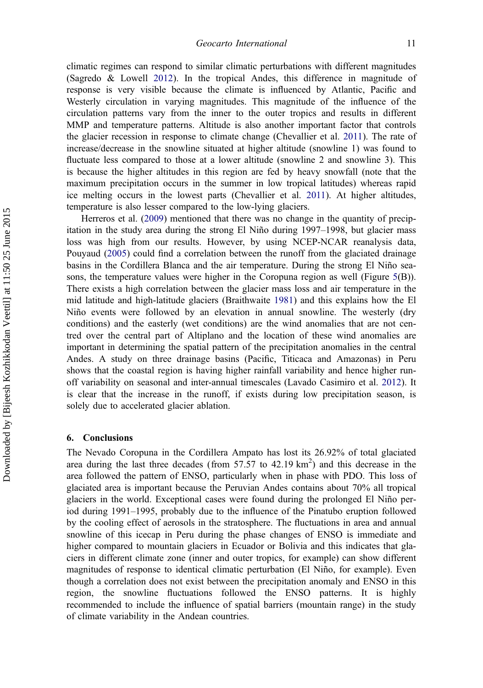climatic regimes can respond to similar climatic perturbations with different magnitudes (Sagredo & Lowell [2012\)](#page-12-0). In the tropical Andes, this difference in magnitude of response is very visible because the climate is influenced by Atlantic, Pacific and Westerly circulation in varying magnitudes. This magnitude of the influence of the circulation patterns vary from the inner to the outer tropics and results in different MMP and temperature patterns. Altitude is also another important factor that controls the glacier recession in response to climate change (Chevallier et al. [2011](#page-11-0)). The rate of increase/decrease in the snowline situated at higher altitude (snowline 1) was found to fluctuate less compared to those at a lower altitude (snowline 2 and snowline 3). This is because the higher altitudes in this region are fed by heavy snowfall (note that the maximum precipitation occurs in the summer in low tropical latitudes) whereas rapid ice melting occurs in the lowest parts (Chevallier et al. [2011\)](#page-11-0). At higher altitudes, temperature is also lesser compared to the low-lying glaciers.

Herreros et al. [\(2009](#page-11-0)) mentioned that there was no change in the quantity of precipitation in the study area during the strong El Niño during 1997–1998, but glacier mass loss was high from our results. However, by using NCEP-NCAR reanalysis data, Pouyaud ([2005](#page-12-0)) could find a correlation between the runoff from the glaciated drainage basins in the Cordillera Blanca and the air temperature. During the strong El Niño seasons, the temperature values were higher in the Coropuna region as well (Figure [5](#page-7-0)(B)). There exists a high correlation between the glacier mass loss and air temperature in the mid latitude and high-latitude glaciers (Braithwaite [1981\)](#page-11-0) and this explains how the El Niño events were followed by an elevation in annual snowline. The westerly (dry conditions) and the easterly (wet conditions) are the wind anomalies that are not centred over the central part of Altiplano and the location of these wind anomalies are important in determining the spatial pattern of the precipitation anomalies in the central Andes. A study on three drainage basins (Pacific, Titicaca and Amazonas) in Peru shows that the coastal region is having higher rainfall variability and hence higher runoff variability on seasonal and inter-annual timescales (Lavado Casimiro et al. [2012](#page-11-0)). It is clear that the increase in the runoff, if exists during low precipitation season, is solely due to accelerated glacier ablation.

#### 6. Conclusions

The Nevado Coropuna in the Cordillera Ampato has lost its 26.92% of total glaciated area during the last three decades (from  $57.57$  to  $42.19 \text{ km}^2$ ) and this decrease in the area followed the pattern of ENSO, particularly when in phase with PDO. This loss of glaciated area is important because the Peruvian Andes contains about 70% all tropical glaciers in the world. Exceptional cases were found during the prolonged El Niño period during 1991–1995, probably due to the influence of the Pinatubo eruption followed by the cooling effect of aerosols in the stratosphere. The fluctuations in area and annual snowline of this icecap in Peru during the phase changes of ENSO is immediate and higher compared to mountain glaciers in Ecuador or Bolivia and this indicates that glaciers in different climate zone (inner and outer tropics, for example) can show different magnitudes of response to identical climatic perturbation (El Niño, for example). Even though a correlation does not exist between the precipitation anomaly and ENSO in this region, the snowline fluctuations followed the ENSO patterns. It is highly recommended to include the influence of spatial barriers (mountain range) in the study of climate variability in the Andean countries.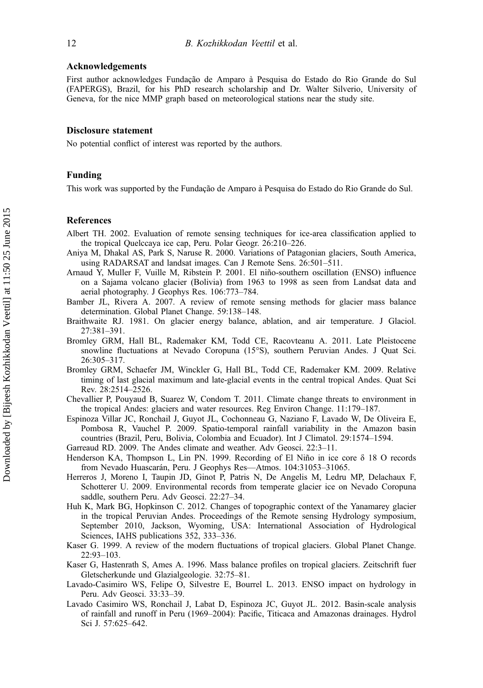## <span id="page-11-0"></span>Acknowledgements

First author acknowledges Fundação de Amparo à Pesquisa do Estado do Rio Grande do Sul (FAPERGS), Brazil, for his PhD research scholarship and Dr. Walter Silverio, University of Geneva, for the nice MMP graph based on meteorological stations near the study site.

#### Disclosure statement

No potential conflict of interest was reported by the authors.

# Funding

This work was supported by the Fundação de Amparo à Pesquisa do Estado do Rio Grande do Sul.

#### References

- Albert TH. 2002. Evaluation of remote sensing techniques for ice-area classification applied to the tropical Quelccaya ice cap, Peru. Polar Geogr. 26:210–226.
- Aniya M, Dhakal AS, Park S, Naruse R. 2000. Variations of Patagonian glaciers, South America, using RADARSAT and landsat images. Can J Remote Sens. 26:501–511.
- Arnaud Y, Muller F, Vuille M, Ribstein P. 2001. El niño-southern oscillation (ENSO) influence on a Sajama volcano glacier (Bolivia) from 1963 to 1998 as seen from Landsat data and aerial photography. J Geophys Res. 106:773–784.
- Bamber JL, Rivera A. 2007. A review of remote sensing methods for glacier mass balance determination. Global Planet Change. 59:138–148.
- Braithwaite RJ. 1981. On glacier energy balance, ablation, and air temperature. J Glaciol. 27:381–391.
- Bromley GRM, Hall BL, Rademaker KM, Todd CE, Racovteanu A. 2011. Late Pleistocene snowline fluctuations at Nevado Coropuna (15°S), southern Peruvian Andes. J Quat Sci. 26:305–317.
- Bromley GRM, Schaefer JM, Winckler G, Hall BL, Todd CE, Rademaker KM. 2009. Relative timing of last glacial maximum and late-glacial events in the central tropical Andes. Quat Sci Rev. 28:2514–2526.
- Chevallier P, Pouyaud B, Suarez W, Condom T. 2011. Climate change threats to environment in the tropical Andes: glaciers and water resources. Reg Environ Change. 11:179–187.
- Espinoza Villar JC, Ronchail J, Guyot JL, Cochonneau G, Naziano F, Lavado W, De Oliveira E, Pombosa R, Vauchel P. 2009. Spatio-temporal rainfall variability in the Amazon basin countries (Brazil, Peru, Bolivia, Colombia and Ecuador). Int J Climatol. 29:1574–1594.
- Garreaud RD. 2009. The Andes climate and weather. Adv Geosci. 22:3–11.
- Henderson KA, Thompson L, Lin PN. 1999. Recording of El Niño in ice core δ 18 O records from Nevado Huascarán, Peru. J Geophys Res—Atmos. 104:31053–31065.
- Herreros J, Moreno I, Taupin JD, Ginot P, Patris N, De Angelis M, Ledru MP, Delachaux F, Schotterer U. 2009. Environmental records from temperate glacier ice on Nevado Coropuna saddle, southern Peru. Adv Geosci. 22:27–34.
- Huh K, Mark BG, Hopkinson C. 2012. Changes of topographic context of the Yanamarey glacier in the tropical Peruvian Andes. Proceedings of the Remote sensing Hydrology symposium, September 2010, Jackson, Wyoming, USA: International Association of Hydrological Sciences, IAHS publications 352, 333–336.
- Kaser G. 1999. A review of the modern fluctuations of tropical glaciers. Global Planet Change. 22:93–103.
- Kaser G, Hastenrath S, Ames A. 1996. Mass balance profiles on tropical glaciers. Zeitschrift fuer Gletscherkunde und Glazialgeologie. 32:75–81.
- Lavado-Casimiro WS, Felipe O, Silvestre E, Bourrel L. 2013. ENSO impact on hydrology in Peru. Adv Geosci. 33:33–39.
- Lavado Casimiro WS, Ronchail J, Labat D, Espinoza JC, Guyot JL. 2012. Basin-scale analysis of rainfall and runoff in Peru (1969–2004): Pacific, Titicaca and Amazonas drainages. Hydrol Sci J. 57:625–642.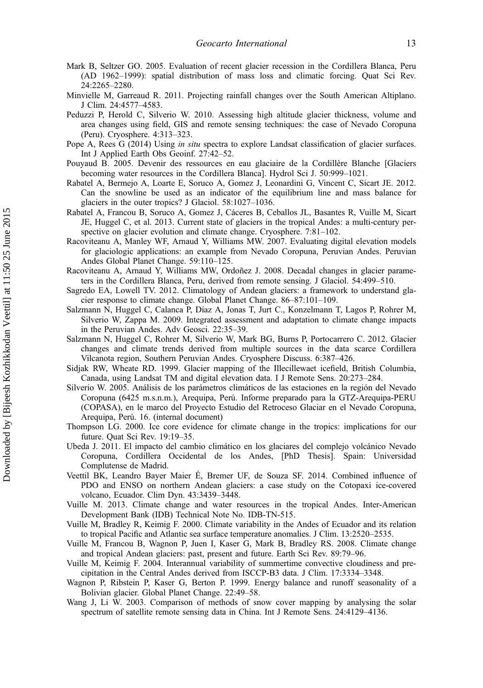- <span id="page-12-0"></span>Mark B, Seltzer GO. 2005. Evaluation of recent glacier recession in the Cordillera Blanca, Peru (AD 1962–1999): spatial distribution of mass loss and climatic forcing. Quat Sci Rev. 24:2265–2280.
- Minvielle M, Garreaud R. 2011. Projecting rainfall changes over the South American Altiplano. J Clim. 24:4577–4583.
- Peduzzi P, Herold C, Silverio W. 2010. Assessing high altitude glacier thickness, volume and area changes using field, GIS and remote sensing techniques: the case of Nevado Coropuna (Peru). Cryosphere. 4:313–323.
- Pope A, Rees G (2014) Using *in situ* spectra to explore Landsat classification of glacier surfaces. Int J Applied Earth Obs Geoinf. 27:42–52.
- Pouyaud B. 2005. Devenir des ressources en eau glaciaire de la Cordillère Blanche [Glaciers becoming water resources in the Cordillera Blanca]. Hydrol Sci J. 50:999–1021.
- Rabatel A, Bermejo A, Loarte E, Soruco A, Gomez J, Leonardini G, Vincent C, Sicart JE. 2012. Can the snowline be used as an indicator of the equilibrium line and mass balance for glaciers in the outer tropics? J Glaciol. 58:1027–1036.
- Rabatel A, Francou B, Soruco A, Gomez J, Cáceres B, Ceballos JL, Basantes R, Vuille M, Sicart JE, Huggel C, et al. 2013. Current state of glaciers in the tropical Andes: a multi-century perspective on glacier evolution and climate change. Cryosphere. 7:81–102.
- Racoviteanu A, Manley WF, Arnaud Y, Williams MW. 2007. Evaluating digital elevation models for glaciologic applications: an example from Nevado Coropuna, Peruvian Andes. Peruvian Andes Global Planet Change. 59:110–125.
- Racoviteanu A, Arnaud Y, Williams MW, Ordoñez J. 2008. Decadal changes in glacier parameters in the Cordillera Blanca, Peru, derived from remote sensing. J Glaciol. 54:499–510.
- Sagredo EA, Lowell TV. 2012. Climatology of Andean glaciers: a framework to understand glacier response to climate change. Global Planet Change. 86–87:101–109.
- Salzmann N, Huggel C, Calanca P, Díaz A, Jonas T, Jurt C., Konzelmann T, Lagos P, Rohrer M, Silverio W, Zappa M. 2009. Integrated assessment and adaptation to climate change impacts in the Peruvian Andes. Adv Geosci. 22:35–39.
- Salzmann N, Huggel C, Rohrer M, Silverio W, Mark BG, Burns P, Portocarrero C. 2012. Glacier changes and climate trends derived from multiple sources in the data scarce Cordillera Vilcanota region, Southern Peruvian Andes. Cryosphere Discuss. 6:387–426.
- Sidjak RW, Wheate RD. 1999. Glacier mapping of the Illecillewaet icefield, British Columbia, Canada, using Landsat TM and digital elevation data. I J Remote Sens. 20:273–284.
- Silverio W. 2005. Análisis de los parámetros climáticos de las estaciones en la región del Nevado Coropuna (6425 m.s.n.m.), Arequipa, Perú. Informe preparado para la GTZ-Arequipa-PERU (COPASA), en le marco del Proyecto Estudio del Retroceso Glaciar en el Nevado Coropuna, Arequipa, Perú. 16. (internal document)
- Thompson LG. 2000. Ice core evidence for climate change in the tropics: implications for our future. Quat Sci Rev. 19:19–35.
- Ubeda J. 2011. El impacto del cambio climático en los glaciares del complejo volcánico Nevado Coropuna, Cordillera Occidental de los Andes, [PhD Thesis]. Spain: Universidad Complutense de Madrid.
- Veettil BK, Leandro Bayer Maier É, Bremer UF, de Souza SF. 2014. Combined influence of PDO and ENSO on northern Andean glaciers: a case study on the Cotopaxi ice-covered volcano, Ecuador. Clim Dyn. 43:3439–3448.
- Vuille M. 2013. Climate change and water resources in the tropical Andes. Inter-American Development Bank (IDB) Technical Note No. IDB-TN-515.
- Vuille M, Bradley R, Keimig F. 2000. Climate variability in the Andes of Ecuador and its relation to tropical Pacific and Atlantic sea surface temperature anomalies. J Clim. 13:2520–2535.
- Vuille M, Francou B, Wagnon P, Juen I, Kaser G, Mark B, Bradley RS. 2008. Climate change and tropical Andean glaciers: past, present and future. Earth Sci Rev. 89:79–96.
- Vuille M, Keimig F. 2004. Interannual variability of summertime convective cloudiness and precipitation in the Central Andes derived from ISCCP-B3 data. J Clim. 17:3334–3348.
- Wagnon P, Ribstein P, Kaser G, Berton P. 1999. Energy balance and runoff seasonality of a Bolivian glacier. Global Planet Change. 22:49–58.
- Wang J, Li W. 2003. Comparison of methods of snow cover mapping by analysing the solar spectrum of satellite remote sensing data in China. Int J Remote Sens. 24:4129–4136.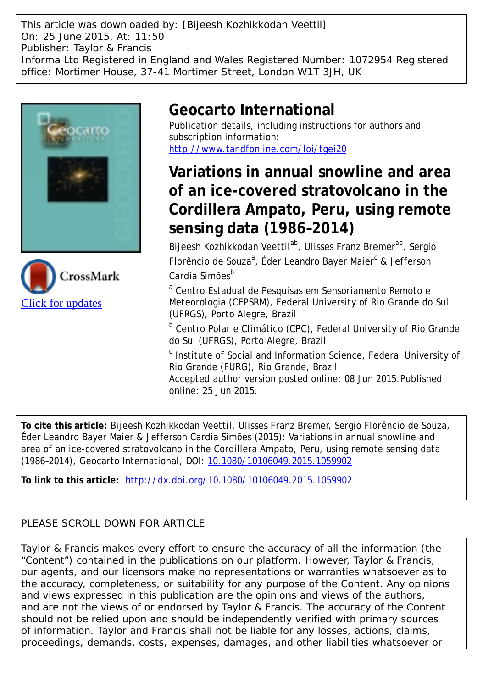This article was downloaded by: [Bijeesh Kozhikkodan Veettil] On: 25 June 2015, At: 11:50 Publisher: Taylor & Francis Informa Ltd Registered in England and Wales Registered Number: 1072954 Registered office: Mortimer House, 37-41 Mortimer Street, London W1T 3JH, UK





# **Geocarto International**

Publication details, including instructions for authors and subscription information: <http://www.tandfonline.com/loi/tgei20>

# **Variations in annual snowline and area of an ice-covered stratovolcano in the Cordillera Ampato, Peru, using remote sensing data (1986–2014)**

Bijeesh Kozhikkodan Veettil<sup>ab</sup>, Ulisses Franz Bremer<sup>ab</sup>, Sergio Florêncio de Souza<sup>a</sup>, Éder Leandro Bayer Maier<sup>c</sup> & Jefferson Cardia Simões<sup>b</sup>

<sup>a</sup> Centro Estadual de Pesquisas em Sensoriamento Remoto e Meteorologia (CEPSRM), Federal University of Rio Grande do Sul (UFRGS), Porto Alegre, Brazil

<sup>b</sup> Centro Polar e Climático (CPC), Federal University of Rio Grande do Sul (UFRGS), Porto Alegre, Brazil

<sup>c</sup> Institute of Social and Information Science, Federal University of Rio Grande (FURG), Rio Grande, Brazil

Accepted author version posted online: 08 Jun 2015.Published online: 25 Jun 2015.

**To cite this article:** Bijeesh Kozhikkodan Veettil, Ulisses Franz Bremer, Sergio Florêncio de Souza, Éder Leandro Bayer Maier & Jefferson Cardia Simões (2015): Variations in annual snowline and area of an ice-covered stratovolcano in the Cordillera Ampato, Peru, using remote sensing data (1986–2014), Geocarto International, DOI: [10.1080/10106049.2015.1059902](http://www.tandfonline.com/action/showCitFormats?doi=10.1080/10106049.2015.1059902)

**To link to this article:** <http://dx.doi.org/10.1080/10106049.2015.1059902>

# PLEASE SCROLL DOWN FOR ARTICLE

Taylor & Francis makes every effort to ensure the accuracy of all the information (the "Content") contained in the publications on our platform. However, Taylor & Francis, our agents, and our licensors make no representations or warranties whatsoever as to the accuracy, completeness, or suitability for any purpose of the Content. Any opinions and views expressed in this publication are the opinions and views of the authors, and are not the views of or endorsed by Taylor & Francis. The accuracy of the Content should not be relied upon and should be independently verified with primary sources of information. Taylor and Francis shall not be liable for any losses, actions, claims, proceedings, demands, costs, expenses, damages, and other liabilities whatsoever or